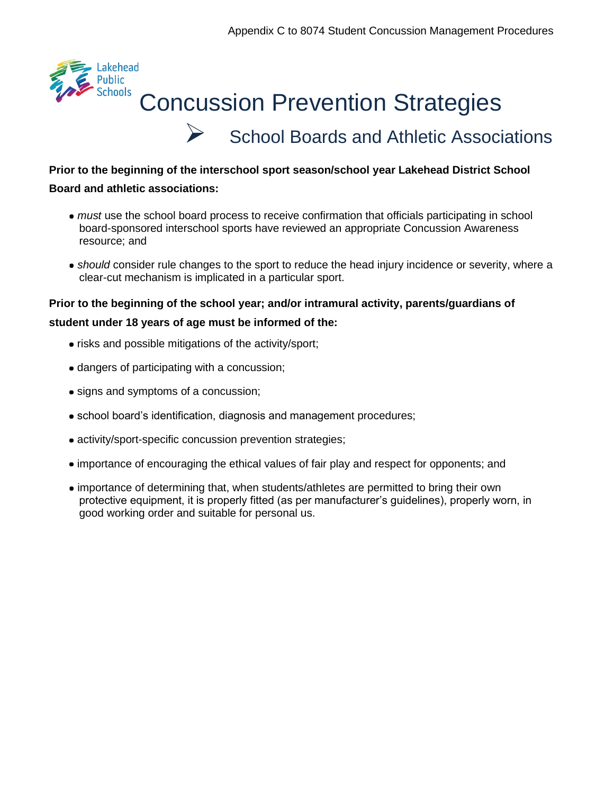

# $\triangleright$  [School Boards and Athletic Associations](https://contenthub.ophea.net/resources/796)

#### **Prior to the beginning of the interschool sport season/school year Lakehead District School**

#### **Board and athletic associations:**

- *must* use the school board process to receive confirmation that officials participating in school board-sponsored interschool sports have reviewed an appropriate Concussion Awareness resource; and
- *should* consider rule changes to the sport to reduce the head injury incidence or severity, where a clear-cut mechanism is implicated in a particular sport.

**Prior to the beginning of the school year; and/or intramural activity, parents/guardians of** 

#### **student under 18 years of age must be informed of the:**

- risks and possible mitigations of the activity/sport;
- dangers of participating with a concussion;
- signs and symptoms of a concussion;
- school board's identification, diagnosis and management procedures;
- activity/sport-specific concussion prevention strategies;
- importance of encouraging the ethical values of fair play and respect for opponents; and
- importance of determining that, when students/athletes are permitted to bring their own protective equipment, it is properly fitted (as per manufacturer's guidelines), properly worn, in good working order and suitable for personal us.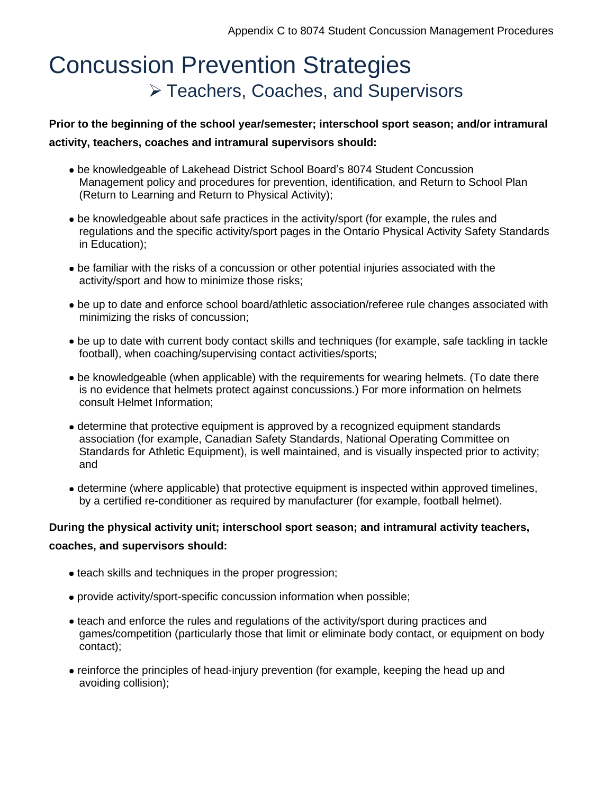## [Concussion Prevention Strategies](https://contenthub.ophea.net/resources/794)  ➢ [Teachers, Coaches, and Supervisors](https://contenthub.ophea.net/resources/794)

#### **Prior to the beginning of the school year/semester; interschool sport season; and/or intramural activity, teachers, coaches and intramural supervisors should:**

- be knowledgeable of Lakehead District School Board's 8074 Student Concussion Management policy and procedures for prevention, identification, and Return to School Plan (Return to Learning and Return to Physical Activity);
- be knowledgeable about safe practices in the activity/sport (for example, the rules and regulations and the specific activity/sport pages in the Ontario Physical Activity Safety Standards in Education);
- be familiar with the risks of a concussion or other potential injuries associated with the activity/sport and how to minimize those risks;
- be up to date and enforce school board/athletic association/referee rule changes associated with minimizing the risks of concussion;
- be up to date with current body contact skills and techniques (for example, safe tackling in tackle football), when coaching/supervising contact activities/sports;
- be knowledgeable (when applicable) with the requirements for wearing helmets. (To date there is no evidence that helmets protect against concussions.) For more information on helmets consult Helmet Information;
- determine that protective equipment is approved by a recognized equipment standards association (for example, Canadian Safety Standards, National Operating Committee on Standards for Athletic Equipment), is well maintained, and is visually inspected prior to activity; and
- determine (where applicable) that protective equipment is inspected within approved timelines, by a certified re-conditioner as required by manufacturer (for example, football helmet).

## **During the physical activity unit; interschool sport season; and intramural activity teachers, coaches, and supervisors should:**

- teach skills and techniques in the proper progression;
- provide activity/sport-specific concussion information when possible;
- teach and enforce the rules and regulations of the activity/sport during practices and games/competition (particularly those that limit or eliminate body contact, or equipment on body contact);
- reinforce the principles of head-injury prevention (for example, keeping the head up and avoiding collision);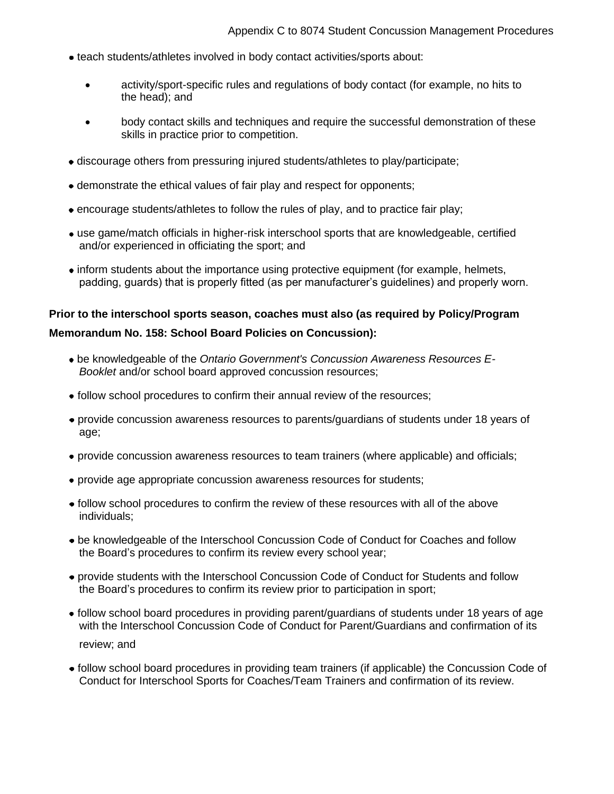- teach students/athletes involved in body contact activities/sports about:
	- activity/sport-specific rules and regulations of body contact (for example, no hits to the head); and
	- body contact skills and techniques and require the successful demonstration of these skills in practice prior to competition.
- discourage others from pressuring injured students/athletes to play/participate;
- demonstrate the ethical values of fair play and respect for opponents;
- encourage students/athletes to follow the rules of play, and to practice fair play;
- use game/match officials in higher-risk interschool sports that are knowledgeable, certified and/or experienced in officiating the sport; and
- inform students about the importance using protective equipment (for example, helmets, padding, guards) that is properly fitted (as per manufacturer's guidelines) and properly worn.

## **Prior to the interschool sports season, coaches must also (as required by Policy/Program Memorandum No. 158: School Board Policies on Concussion):**

- be knowledgeable of the *[Ontario Government's Concussion Awareness Resources E-](https://www.ontario.ca/page/rowans-law-concussion-awareness-resources)[Booklet](https://www.ontario.ca/page/rowans-law-concussion-awareness-resources)* and/or school board approved concussion resources;
- follow school procedures to confirm their annual review of the resources;
- provide [concussion awareness resources](https://safety.ophea.net/resources/1250) to parents/guardians of students under 18 years of age;
- provide concussion awareness resources to team trainers (where applicable) and officials;
- provide age appropriate concussion awareness resources for students;
- follow school procedures to confirm the review of these resources with all of the above individuals;
- be knowledgeable of the Interschool Concussion Code of Conduct for Coaches and follow the Board's procedures to confirm its review every school year;
- provide students with the Interschool Concussion Code of Conduct for Students and follow the Board's procedures to confirm its review prior to participation in sport;
- follow school board procedures in providing parent/guardians of students under 18 years of age with the Interschool Concussion Code of Conduct for Parent/Guardians and confirmation of its review; and
- follow school board procedures in providing team trainers (if applicable) the Concussion Code of Conduct for Interschool Sports for Coaches/Team Trainers and confirmation of its review.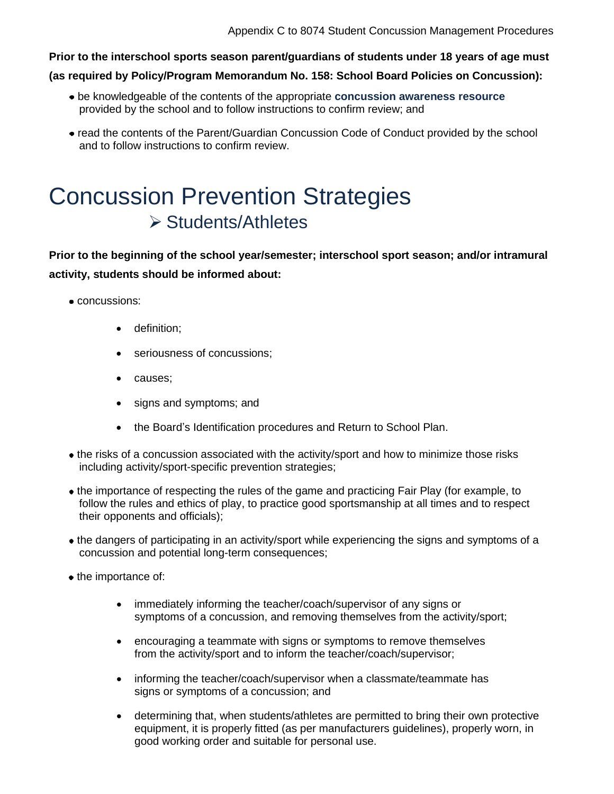**Prior to the interschool sports season parent/guardians of students under 18 years of age must** 

**(as required by Policy/Program Memorandum No. 158: School Board Policies on Concussion):**

- be knowledgeable of the contents of the appropriate **[concussion awareness resource](https://safety.ophea.net/resources/1250)** provided by the school and to follow instructions to confirm review; and
- read the contents of the Parent/Guardian Concussion Code of Conduct provided by the school and to follow instructions to confirm review.

## [Concussion Prevention Strategies](https://contenthub.ophea.net/resources/795) ➢ [Students/Athletes](https://contenthub.ophea.net/resources/795)

**Prior to the beginning of the school year/semester; interschool sport season; and/or intramural activity, students should be informed about:**

- concussions:
	- definition;
	- seriousness of concussions;
	- causes;
	- signs and symptoms; and
	- the Board's Identification procedures and Return to School Plan.
- the risks of a concussion associated with the activity/sport and how to minimize those risks including activity/sport-specific prevention strategies;
- the importance of respecting the rules of the game and practicing Fair Play (for example, to follow the rules and ethics of play, to practice good sportsmanship at all times and to respect their opponents and officials);
- the dangers of participating in an activity/sport while experiencing the signs and symptoms of a concussion and potential long-term consequences;
- the importance of:
	- immediately informing the teacher/coach/supervisor of any signs or symptoms of a concussion, and removing themselves from the activity/sport;
	- encouraging a teammate with signs or symptoms to remove themselves from the activity/sport and to inform the teacher/coach/supervisor;
	- informing the teacher/coach/supervisor when a classmate/teammate has signs or symptoms of a concussion; and
	- determining that, when students/athletes are permitted to bring their own protective equipment, it is properly fitted (as per manufacturers guidelines), properly worn, in good working order and suitable for personal use.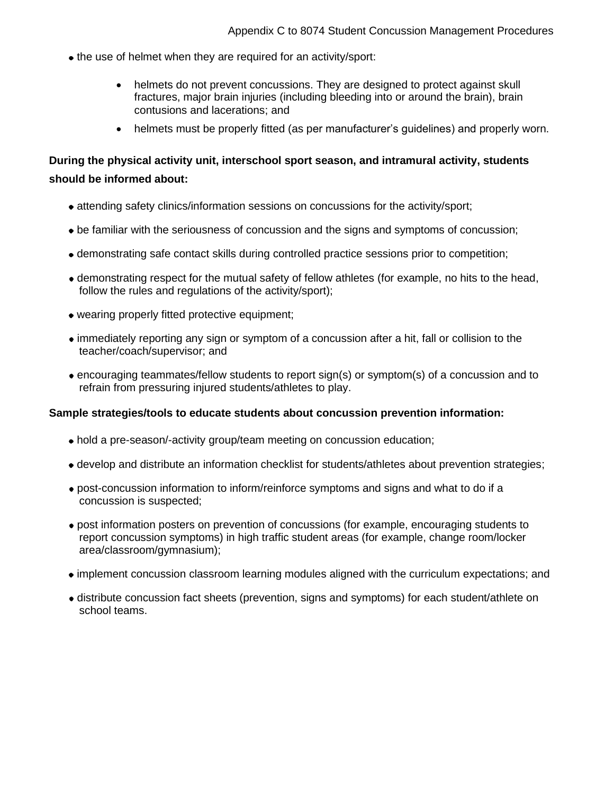- the use of helmet when they are required for an activity/sport:
	- helmets do not prevent concussions. They are designed to protect against skull fractures, major brain injuries (including bleeding into or around the brain), brain contusions and lacerations; and
	- helmets must be properly fitted (as per manufacturer's guidelines) and properly worn.

## **During the physical activity unit, interschool sport season, and intramural activity, students should be informed about:**

- attending safety clinics/information sessions on concussions for the activity/sport;
- be familiar with the seriousness of concussion and the signs and symptoms of concussion;
- demonstrating safe contact skills during controlled practice sessions prior to competition;
- demonstrating respect for the mutual safety of fellow athletes (for example, no hits to the head, follow the rules and regulations of the activity/sport);
- wearing properly fitted protective equipment;
- immediately reporting any sign or symptom of a concussion after a hit, fall or collision to the teacher/coach/supervisor; and
- encouraging teammates/fellow students to report sign(s) or symptom(s) of a concussion and to refrain from pressuring injured students/athletes to play.

#### **Sample strategies/tools to educate students about concussion prevention information:**

- hold a pre-season/-activity group/team meeting on concussion education;
- develop and distribute an information checklist for students/athletes about prevention strategies;
- post-concussion information to inform/reinforce symptoms and signs and what to do if a concussion is suspected;
- post information posters on prevention of concussions (for example, encouraging students to report concussion symptoms) in high traffic student areas (for example, change room/locker area/classroom/gymnasium);
- implement concussion classroom learning modules aligned with the curriculum expectations; and
- distribute concussion fact sheets (prevention, signs and symptoms) for each student/athlete on school teams.